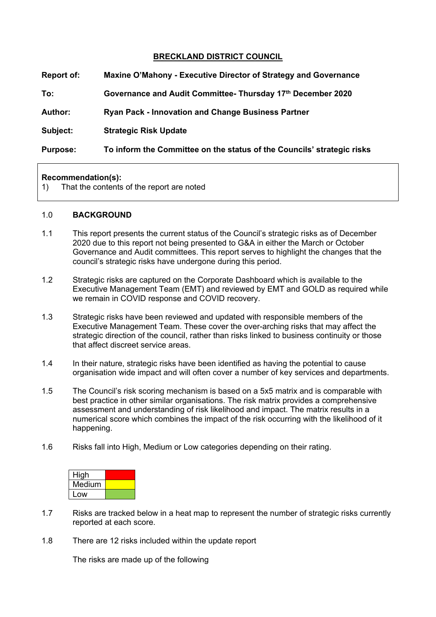## **BRECKLAND DISTRICT COUNCIL**

| <b>Report of:</b> | Maxine O'Mahony - Executive Director of Strategy and Governance        |  |
|-------------------|------------------------------------------------------------------------|--|
| To:               | Governance and Audit Committee- Thursday 17th December 2020            |  |
| <b>Author:</b>    | <b>Ryan Pack - Innovation and Change Business Partner</b>              |  |
| Subject:          | <b>Strategic Risk Update</b>                                           |  |
| <b>Purpose:</b>   | To inform the Committee on the status of the Councils' strategic risks |  |

#### **Recommendation(s):**

1) That the contents of the report are noted

#### 1.0 **BACKGROUND**

- 1.1 This report presents the current status of the Council's strategic risks as of December 2020 due to this report not being presented to G&A in either the March or October Governance and Audit committees. This report serves to highlight the changes that the council's strategic risks have undergone during this period.
- 1.2 Strategic risks are captured on the Corporate Dashboard which is available to the Executive Management Team (EMT) and reviewed by EMT and GOLD as required while we remain in COVID response and COVID recovery.
- 1.3 Strategic risks have been reviewed and updated with responsible members of the Executive Management Team. These cover the over-arching risks that may affect the strategic direction of the council, rather than risks linked to business continuity or those that affect discreet service areas.
- 1.4 In their nature, strategic risks have been identified as having the potential to cause organisation wide impact and will often cover a number of key services and departments.
- 1.5 The Council's risk scoring mechanism is based on a 5x5 matrix and is comparable with best practice in other similar organisations. The risk matrix provides a comprehensive assessment and understanding of risk likelihood and impact. The matrix results in a numerical score which combines the impact of the risk occurring with the likelihood of it happening.
- 1.6 Risks fall into High, Medium or Low categories depending on their rating.



- 1.7 Risks are tracked below in a heat map to represent the number of strategic risks currently reported at each score.
- 1.8 There are 12 risks included within the update report

The risks are made up of the following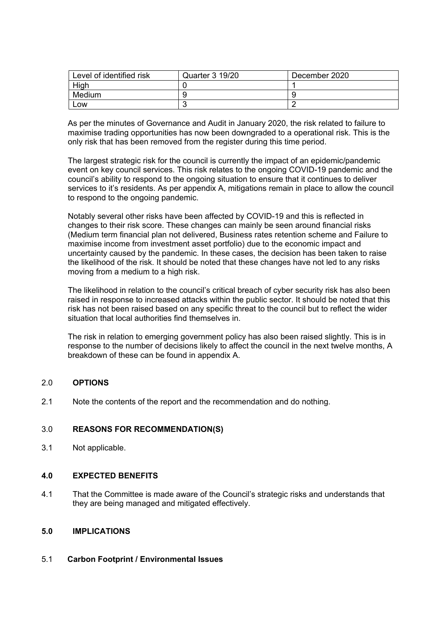| Level of identified risk | Quarter 3 19/20 | December 2020 |
|--------------------------|-----------------|---------------|
| High                     |                 |               |
| Medium                   |                 |               |
| _OW                      |                 |               |

As per the minutes of Governance and Audit in January 2020, the risk related to failure to maximise trading opportunities has now been downgraded to a operational risk. This is the only risk that has been removed from the register during this time period.

The largest strategic risk for the council is currently the impact of an epidemic/pandemic event on key council services. This risk relates to the ongoing COVID-19 pandemic and the council's ability to respond to the ongoing situation to ensure that it continues to deliver services to it's residents. As per appendix A, mitigations remain in place to allow the council to respond to the ongoing pandemic.

Notably several other risks have been affected by COVID-19 and this is reflected in changes to their risk score. These changes can mainly be seen around financial risks (Medium term financial plan not delivered, Business rates retention scheme and Failure to maximise income from investment asset portfolio) due to the economic impact and uncertainty caused by the pandemic. In these cases, the decision has been taken to raise the likelihood of the risk. It should be noted that these changes have not led to any risks moving from a medium to a high risk.

The likelihood in relation to the council's critical breach of cyber security risk has also been raised in response to increased attacks within the public sector. It should be noted that this risk has not been raised based on any specific threat to the council but to reflect the wider situation that local authorities find themselves in.

The risk in relation to emerging government policy has also been raised slightly. This is in response to the number of decisions likely to affect the council in the next twelve months, A breakdown of these can be found in appendix A.

### 2.0 **OPTIONS**

2.1 Note the contents of the report and the recommendation and do nothing.

# 3.0 **REASONS FOR RECOMMENDATION(S)**

3.1 Not applicable.

# **4.0 EXPECTED BENEFITS**

4.1 That the Committee is made aware of the Council's strategic risks and understands that they are being managed and mitigated effectively.

### **5.0 IMPLICATIONS**

### 5.1 **Carbon Footprint / Environmental Issues**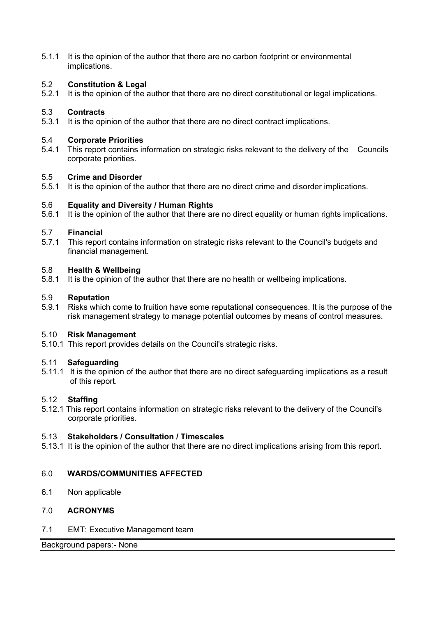5.1.1 It is the opinion of the author that there are no carbon footprint or environmental implications.

# 5.2 **Constitution & Legal**

5.2.1 It is the opinion of the author that there are no direct constitutional or legal implications.

## 5.3 **Contracts**

5.3.1 It is the opinion of the author that there are no direct contract implications.

### 5.4 **Corporate Priorities**

5.4.1 This report contains information on strategic risks relevant to the delivery of the Councils corporate priorities.

### 5.5 **Crime and Disorder**

5.5.1 It is the opinion of the author that there are no direct crime and disorder implications.

### 5.6 **Equality and Diversity / Human Rights**

5.6.1 It is the opinion of the author that there are no direct equality or human rights implications.

### 5.7 **Financial**

5.7.1 This report contains information on strategic risks relevant to the Council's budgets and financial management.

### 5.8 **Health & Wellbeing**

5.8.1 It is the opinion of the author that there are no health or wellbeing implications.

### 5.9 **Reputation**

5.9.1 Risks which come to fruition have some reputational consequences. It is the purpose of the risk management strategy to manage potential outcomes by means of control measures.

### 5.10 **Risk Management**

5.10.1 This report provides details on the Council's strategic risks.

### 5.11 **Safeguarding**

5.11.1 It is the opinion of the author that there are no direct safeguarding implications as a result of this report.

### 5.12 **Staffing**

5.12.1 This report contains information on strategic risks relevant to the delivery of the Council's corporate priorities.

### 5.13 **Stakeholders / Consultation / Timescales**

5.13.1 It is the opinion of the author that there are no direct implications arising from this report.

### 6.0 **WARDS/COMMUNITIES AFFECTED**

6.1 Non applicable

## 7.0 **ACRONYMS**

7.1 EMT: Executive Management team

Background papers:- None